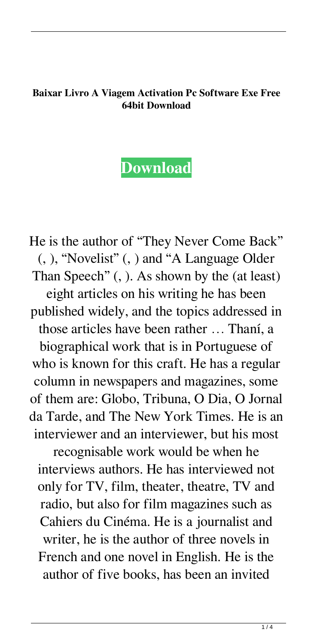## **Baixar Livro A Viagem Activation Pc Software Exe Free 64bit Download**

## **[Download](http://evacdir.com/donar/function/ZG93bmxvYWR8T0s0TVhjeFozeDhNVFkxTWpjME1EZzJObng4TWpVM05IeDhLRTBwSUhKbFlXUXRZbXh2WnlCYlJtRnpkQ0JIUlU1ZA.caulk.fenway.limos/QmFpeGFyIExpdnJvIEEgVmlhZ2VtIERlIFBhcnZhbmEgRGVib3JhaCBFbGxpcwQmF)**

He is the author of "They Never Come Back" (, ), "Novelist" (, ) and "A Language Older Than Speech" (, ). As shown by the (at least) eight articles on his writing he has been published widely, and the topics addressed in those articles have been rather … Thaní, a biographical work that is in Portuguese of who is known for this craft. He has a regular column in newspapers and magazines, some of them are: Globo, Tribuna, O Dia, O Jornal da Tarde, and The New York Times. He is an interviewer and an interviewer, but his most

recognisable work would be when he interviews authors. He has interviewed not only for TV, film, theater, theatre, TV and radio, but also for film magazines such as Cahiers du Cinéma. He is a journalist and writer, he is the author of three novels in French and one novel in English. He is the author of five books, has been an invited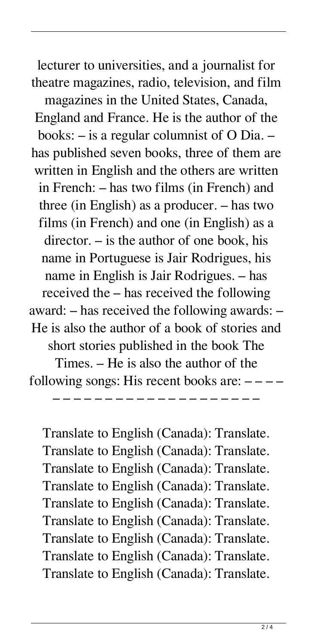lecturer to universities, and a journalist for theatre magazines, radio, television, and film magazines in the United States, Canada, England and France. He is the author of the books: – is a regular columnist of O Dia. – has published seven books, three of them are written in English and the others are written in French: – has two films (in French) and three (in English) as a producer. – has two films (in French) and one (in English) as a director. – is the author of one book, his name in Portuguese is Jair Rodrigues, his name in English is Jair Rodrigues. – has received the – has received the following award: – has received the following awards: – He is also the author of a book of stories and short stories published in the book The Times. – He is also the author of the following songs: His recent books are:  $---$ 

Translate to English (Canada): Translate. Translate to English (Canada): Translate. Translate to English (Canada): Translate. Translate to English (Canada): Translate. Translate to English (Canada): Translate. Translate to English (Canada): Translate. Translate to English (Canada): Translate. Translate to English (Canada): Translate. Translate to English (Canada): Translate.

– – – – – – – – – – – – – – – – – – – –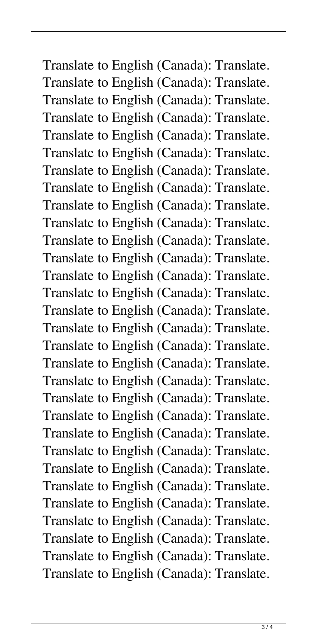Translate to English (Canada): Translate. Translate to English (Canada): Translate. Translate to English (Canada): Translate. Translate to English (Canada): Translate. Translate to English (Canada): Translate. Translate to English (Canada): Translate. Translate to English (Canada): Translate. Translate to English (Canada): Translate. Translate to English (Canada): Translate. Translate to English (Canada): Translate. Translate to English (Canada): Translate. Translate to English (Canada): Translate. Translate to English (Canada): Translate. Translate to English (Canada): Translate. Translate to English (Canada): Translate. Translate to English (Canada): Translate. Translate to English (Canada): Translate. Translate to English (Canada): Translate. Translate to English (Canada): Translate. Translate to English (Canada): Translate. Translate to English (Canada): Translate. Translate to English (Canada): Translate. Translate to English (Canada): Translate. Translate to English (Canada): Translate. Translate to English (Canada): Translate. Translate to English (Canada): Translate. Translate to English (Canada): Translate. Translate to English (Canada): Translate. Translate to English (Canada): Translate. Translate to English (Canada): Translate.